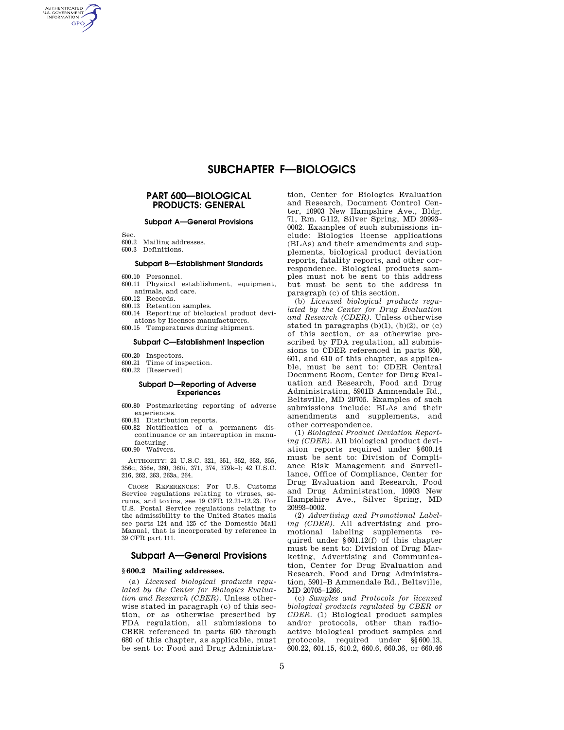# **SUBCHAPTER F—BIOLOGICS**

## **PART 600—BIOLOGICAL PRODUCTS: GENERAL**

## **Subpart A—General Provisions**

 $Sec. 600.2$ 

AUTHENTICATED<br>U.S. GOVERNMENT<br>INFORMATION **GPO** 

- Mailing addresses.
- 600.3 Definitions.

## **Subpart B—Establishment Standards**

- 600.10 Personnel.
- 600.11 Physical establishment, equipment, animals, and care.
- 600.12 Records.
- 600.13 Retention samples.
- 600.14 Reporting of biological product deviations by licenses manufacturers.
- 600.15 Temperatures during shipment.

#### **Subpart C—Establishment Inspection**

- 600.20 Inspectors.
- 600.21 Time of inspection.
- 600.22 [Reserved]

## **Subpart D—Reporting of Adverse Experiences**

600.80 Postmarketing reporting of adverse experiences.

600.81 Distribution reports.

600.82 Notification of a permanent discontinuance or an interruption in manufacturing.

600.90 Waivers.

AUTHORITY: 21 U.S.C. 321, 351, 352, 353, 355, 356c, 356e, 360, 360i, 371, 374, 379k–l; 42 U.S.C. 216, 262, 263, 263a, 264.

CROSS REFERENCES: For U.S. Customs Service regulations relating to viruses, serums, and toxins, see 19 CFR 12.21–12.23. For U.S. Postal Service regulations relating to the admissibility to the United States mails see parts 124 and 125 of the Domestic Mail Manual, that is incorporated by reference in 39 CFR part 111.

## **Subpart A—General Provisions**

#### **§ 600.2 Mailing addresses.**

(a) *Licensed biological products regulated by the Center for Biologics Evaluation and Research (CBER).* Unless otherwise stated in paragraph (c) of this section, or as otherwise prescribed by FDA regulation, all submissions to CBER referenced in parts 600 through 680 of this chapter, as applicable, must be sent to: Food and Drug Administra-

tion, Center for Biologics Evaluation and Research, Document Control Center, 10903 New Hampshire Ave., Bldg. 71, Rm. G112, Silver Spring, MD 20993– 0002. Examples of such submissions include: Biologics license applications (BLAs) and their amendments and supplements, biological product deviation reports, fatality reports, and other correspondence. Biological products samples must not be sent to this address but must be sent to the address in paragraph (c) of this section.

(b) *Licensed biological products regulated by the Center for Drug Evaluation and Research (CDER).* Unless otherwise stated in paragraphs  $(b)(1)$ ,  $(b)(2)$ , or  $(c)$ of this section, or as otherwise prescribed by FDA regulation, all submissions to CDER referenced in parts 600, 601, and 610 of this chapter, as applicable, must be sent to: CDER Central Document Room, Center for Drug Evaluation and Research, Food and Drug Administration, 5901B Ammendale Rd., Beltsville, MD 20705. Examples of such submissions include: BLAs and their amendments and supplements, and other correspondence.

(1) *Biological Product Deviation Reporting (CDER).* All biological product deviation reports required under §600.14 must be sent to: Division of Compliance Risk Management and Surveillance, Office of Compliance, Center for Drug Evaluation and Research, Food and Drug Administration, 10903 New Hampshire Ave., Silver Spring, MD 20993–0002.

(2) *Advertising and Promotional Labeling (CDER).* All advertising and promotional labeling supplements required under §601.12(f) of this chapter must be sent to: Division of Drug Marketing, Advertising and Communication, Center for Drug Evaluation and Research, Food and Drug Administration, 5901–B Ammendale Rd., Beltsville, MD 20705–1266.

(c) *Samples and Protocols for licensed biological products regulated by CBER or CDER.* (1) Biological product samples and/or protocols, other than radioactive biological product samples and protocols, required under §§600.13, 600.22, 601.15, 610.2, 660.6, 660.36, or 660.46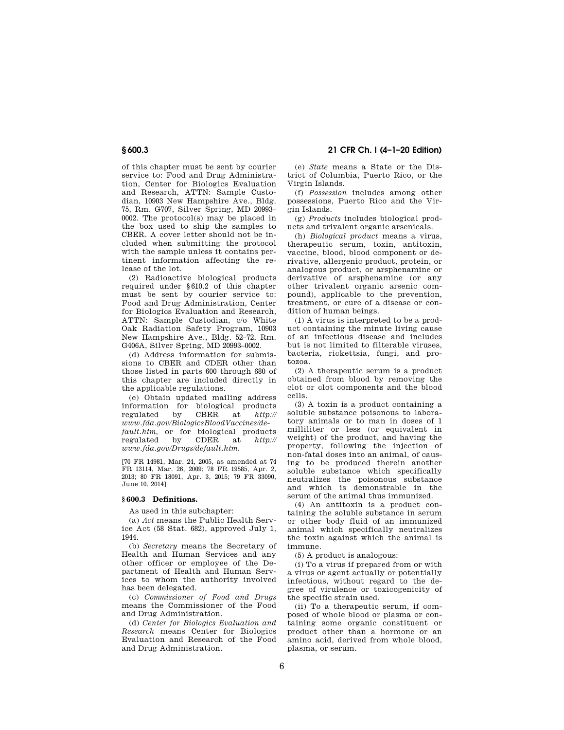## **§ 600.3 21 CFR Ch. I (4–1–20 Edition)**

of this chapter must be sent by courier service to: Food and Drug Administration, Center for Biologics Evaluation and Research, ATTN: Sample Custodian, 10903 New Hampshire Ave., Bldg. 75, Rm. G707, Silver Spring, MD 20993– 0002. The protocol(s) may be placed in the box used to ship the samples to CBER. A cover letter should not be included when submitting the protocol with the sample unless it contains pertinent information affecting the release of the lot.

(2) Radioactive biological products required under §610.2 of this chapter must be sent by courier service to: Food and Drug Administration, Center for Biologics Evaluation and Research, ATTN: Sample Custodian, c/o White Oak Radiation Safety Program, 10903 New Hampshire Ave., Bldg. 52–72, Rm. G406A, Silver Spring, MD 20993–0002.

(d) Address information for submissions to CBER and CDER other than those listed in parts 600 through 680 of this chapter are included directly in the applicable regulations.

(e) Obtain updated mailing address information for biological products<br>regulated by CBER at *http://* regulated *www.fda.gov/BiologicsBloodVaccines/default.htm*, or for biological products regulated by CDER at *http:// www.fda.gov/Drugs/default.htm.* 

[70 FR 14981, Mar. 24, 2005, as amended at 74 FR 13114, Mar. 26, 2009; 78 FR 19585, Apr. 2, 2013; 80 FR 18091, Apr. 3, 2015; 79 FR 33090, June 10, 2014]

#### **§ 600.3 Definitions.**

As used in this subchapter:

(a) *Act* means the Public Health Service Act (58 Stat. 682), approved July 1, 1944.

(b) *Secretary* means the Secretary of Health and Human Services and any other officer or employee of the Department of Health and Human Services to whom the authority involved has been delegated.

(c) *Commissioner of Food and Drugs*  means the Commissioner of the Food and Drug Administration.

(d) *Center for Biologics Evaluation and Research* means Center for Biologics Evaluation and Research of the Food and Drug Administration.

(e) *State* means a State or the District of Columbia, Puerto Rico, or the Virgin Islands.

(f) *Possession* includes among other possessions, Puerto Rico and the Virgin Islands.

(g) *Products* includes biological products and trivalent organic arsenicals.

(h) *Biological product* means a virus, therapeutic serum, toxin, antitoxin, vaccine, blood, blood component or derivative, allergenic product, protein, or analogous product, or arsphenamine or derivative of arsphenamine (or any other trivalent organic arsenic compound), applicable to the prevention, treatment, or cure of a disease or condition of human beings.

(1) A virus is interpreted to be a product containing the minute living cause of an infectious disease and includes but is not limited to filterable viruses, bacteria, rickettsia, fungi, and protozoa.

(2) A therapeutic serum is a product obtained from blood by removing the clot or clot components and the blood cells.

(3) A toxin is a product containing a soluble substance poisonous to laboratory animals or to man in doses of 1 milliliter or less (or equivalent in weight) of the product, and having the property, following the injection of non-fatal doses into an animal, of causing to be produced therein another soluble substance which specifically neutralizes the poisonous substance and which is demonstrable in the serum of the animal thus immunized.

(4) An antitoxin is a product containing the soluble substance in serum or other body fluid of an immunized animal which specifically neutralizes the toxin against which the animal is immune.

(5) A product is analogous:

(i) To a virus if prepared from or with a virus or agent actually or potentially infectious, without regard to the degree of virulence or toxicogenicity of the specific strain used.

(ii) To a therapeutic serum, if composed of whole blood or plasma or containing some organic constituent or product other than a hormone or an amino acid, derived from whole blood, plasma, or serum.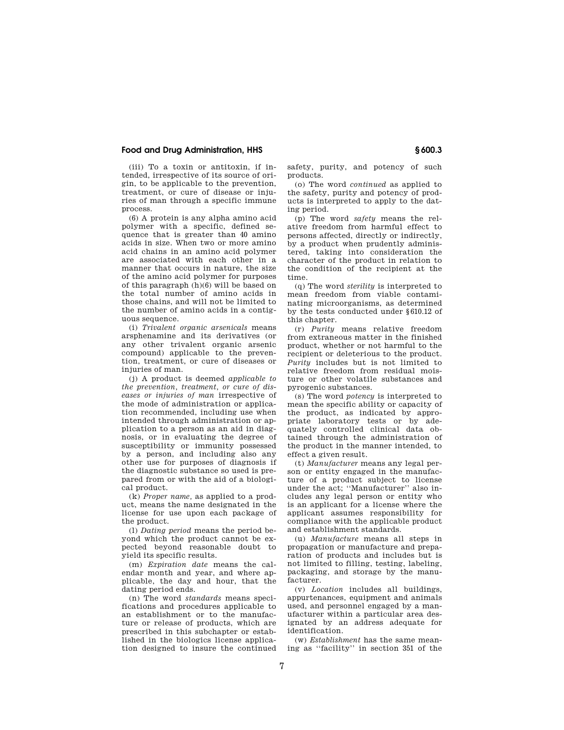(iii) To a toxin or antitoxin, if intended, irrespective of its source of origin, to be applicable to the prevention, treatment, or cure of disease or injuries of man through a specific immune process.

(6) A protein is any alpha amino acid polymer with a specific, defined sequence that is greater than 40 amino acids in size. When two or more amino acid chains in an amino acid polymer are associated with each other in a manner that occurs in nature, the size of the amino acid polymer for purposes of this paragraph (h)(6) will be based on the total number of amino acids in those chains, and will not be limited to the number of amino acids in a contiguous sequence.

(i) *Trivalent organic arsenicals* means arsphenamine and its derivatives (or any other trivalent organic arsenic compound) applicable to the prevention, treatment, or cure of diseases or injuries of man.

(j) A product is deemed *applicable to the prevention, treatment, or cure of diseases or injuries of man* irrespective of the mode of administration or application recommended, including use when intended through administration or application to a person as an aid in diagnosis, or in evaluating the degree of susceptibility or immunity possessed by a person, and including also any other use for purposes of diagnosis if the diagnostic substance so used is prepared from or with the aid of a biological product.

(k) *Proper name,* as applied to a product, means the name designated in the license for use upon each package of the product.

(l) *Dating period* means the period beyond which the product cannot be expected beyond reasonable doubt to yield its specific results.

(m) *Expiration date* means the calendar month and year, and where applicable, the day and hour, that the dating period ends.

(n) The word *standards* means specifications and procedures applicable to an establishment or to the manufacture or release of products, which are prescribed in this subchapter or established in the biologics license application designed to insure the continued safety, purity, and potency of such products.

(o) The word *continued* as applied to the safety, purity and potency of products is interpreted to apply to the dating period.

(p) The word *safety* means the relative freedom from harmful effect to persons affected, directly or indirectly, by a product when prudently administered, taking into consideration the character of the product in relation to the condition of the recipient at the time.

(q) The word *sterility* is interpreted to mean freedom from viable contaminating microorganisms, as determined by the tests conducted under §610.12 of this chapter.

(r) *Purity* means relative freedom from extraneous matter in the finished product, whether or not harmful to the recipient or deleterious to the product. *Purity* includes but is not limited to relative freedom from residual moisture or other volatile substances and pyrogenic substances.

(s) The word *potency* is interpreted to mean the specific ability or capacity of the product, as indicated by appropriate laboratory tests or by adequately controlled clinical data obtained through the administration of the product in the manner intended, to effect a given result.

(t) *Manufacturer* means any legal person or entity engaged in the manufacture of a product subject to license under the act; ''Manufacturer'' also includes any legal person or entity who is an applicant for a license where the applicant assumes responsibility for compliance with the applicable product and establishment standards.

(u) *Manufacture* means all steps in propagation or manufacture and preparation of products and includes but is not limited to filling, testing, labeling, packaging, and storage by the manufacturer.

(v) *Location* includes all buildings, appurtenances, equipment and animals used, and personnel engaged by a manufacturer within a particular area designated by an address adequate for identification.

(w) *Establishment* has the same meaning as ''facility'' in section 351 of the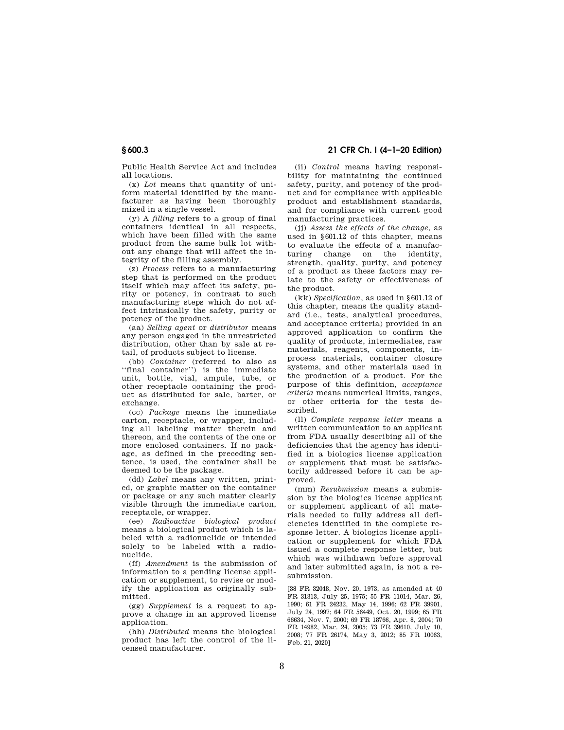**§ 600.3 21 CFR Ch. I (4–1–20 Edition)** 

Public Health Service Act and includes all locations.

(x) *Lot* means that quantity of uniform material identified by the manufacturer as having been thoroughly mixed in a single vessel.

(y) A *filling* refers to a group of final containers identical in all respects, which have been filled with the same product from the same bulk lot without any change that will affect the integrity of the filling assembly.

(z) *Process* refers to a manufacturing step that is performed on the product itself which may affect its safety, purity or potency, in contrast to such manufacturing steps which do not affect intrinsically the safety, purity or potency of the product.

(aa) *Selling agent* or *distributor* means any person engaged in the unrestricted distribution, other than by sale at retail, of products subject to license.

(bb) *Container* (referred to also as ''final container'') is the immediate unit, bottle, vial, ampule, tube, or other receptacle containing the product as distributed for sale, barter, or exchange.

(cc) *Package* means the immediate carton, receptacle, or wrapper, including all labeling matter therein and thereon, and the contents of the one or more enclosed containers. If no package, as defined in the preceding sentence, is used, the container shall be deemed to be the package.

(dd) *Label* means any written, printed, or graphic matter on the container or package or any such matter clearly visible through the immediate carton, receptacle, or wrapper.

(ee) *Radioactive biological product*  means a biological product which is labeled with a radionuclide or intended solely to be labeled with a radionuclide.

(ff) *Amendment* is the submission of information to a pending license application or supplement, to revise or modify the application as originally submitted.

(gg) *Supplement* is a request to approve a change in an approved license application.

(hh) *Distributed* means the biological product has left the control of the licensed manufacturer.

(ii) *Control* means having responsibility for maintaining the continued safety, purity, and potency of the product and for compliance with applicable product and establishment standards, and for compliance with current good manufacturing practices.

(jj) *Assess the effects of the change*, as used in §601.12 of this chapter, means to evaluate the effects of a manufacturing change on the identity, strength, quality, purity, and potency of a product as these factors may relate to the safety or effectiveness of the product.

(kk) *Specification*, as used in §601.12 of this chapter, means the quality standard (i.e., tests, analytical procedures, and acceptance criteria) provided in an approved application to confirm the quality of products, intermediates, raw materials, reagents, components, inprocess materials, container closure systems, and other materials used in the production of a product. For the purpose of this definition, *acceptance criteria* means numerical limits, ranges, or other criteria for the tests described.

(ll) *Complete response letter* means a written communication to an applicant from FDA usually describing all of the deficiencies that the agency has identified in a biologics license application or supplement that must be satisfactorily addressed before it can be approved.

(mm) *Resubmission* means a submission by the biologics license applicant or supplement applicant of all materials needed to fully address all deficiencies identified in the complete response letter. A biologics license application or supplement for which FDA issued a complete response letter, but which was withdrawn before approval and later submitted again, is not a resubmission.

[38 FR 32048, Nov. 20, 1973, as amended at 40 FR 31313, July 25, 1975; 55 FR 11014, Mar. 26, 1990; 61 FR 24232, May 14, 1996; 62 FR 39901, July 24, 1997; 64 FR 56449, Oct. 20, 1999; 65 FR 66634, Nov. 7, 2000; 69 FR 18766, Apr. 8, 2004; 70 FR 14982, Mar. 24, 2005; 73 FR 39610, July 10, 2008; 77 FR 26174, May 3, 2012; 85 FR 10063, Feb. 21, 2020]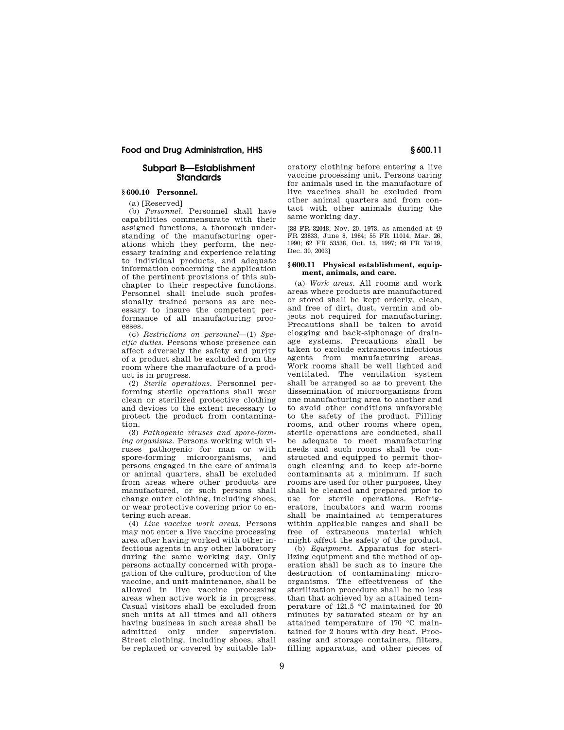## **Subpart B—Establishment Standards**

## **§ 600.10 Personnel.**

(a) [Reserved]

(b) *Personnel.* Personnel shall have capabilities commensurate with their assigned functions, a thorough understanding of the manufacturing operations which they perform, the necessary training and experience relating to individual products, and adequate information concerning the application of the pertinent provisions of this subchapter to their respective functions. Personnel shall include such professionally trained persons as are necessary to insure the competent performance of all manufacturing processes.

(c) *Restrictions on personnel*—(1) *Specific duties.* Persons whose presence can affect adversely the safety and purity of a product shall be excluded from the room where the manufacture of a product is in progress.

(2) *Sterile operations.* Personnel performing sterile operations shall wear clean or sterilized protective clothing and devices to the extent necessary to protect the product from contamination.

(3) *Pathogenic viruses and spore-forming organisms.* Persons working with viruses pathogenic for man or with spore-forming microorganisms, and persons engaged in the care of animals or animal quarters, shall be excluded from areas where other products are manufactured, or such persons shall change outer clothing, including shoes, or wear protective covering prior to entering such areas.

(4) *Live vaccine work areas.* Persons may not enter a live vaccine processing area after having worked with other infectious agents in any other laboratory during the same working day. Only persons actually concerned with propagation of the culture, production of the vaccine, and unit maintenance, shall be allowed in live vaccine processing areas when active work is in progress. Casual visitors shall be excluded from such units at all times and all others having business in such areas shall be admitted only under supervision. Street clothing, including shoes, shall be replaced or covered by suitable laboratory clothing before entering a live vaccine processing unit. Persons caring for animals used in the manufacture of live vaccines shall be excluded from other animal quarters and from contact with other animals during the same working day.

[38 FR 32048, Nov. 20, 1973, as amended at 49 FR 23833, June 8, 1984; 55 FR 11014, Mar. 26, 1990; 62 FR 53538, Oct. 15, 1997; 68 FR 75119, Dec. 30, 2003]

#### **§ 600.11 Physical establishment, equipment, animals, and care.**

(a) *Work areas.* All rooms and work areas where products are manufactured or stored shall be kept orderly, clean, and free of dirt, dust, vermin and objects not required for manufacturing. Precautions shall be taken to avoid clogging and back-siphonage of drainage systems. Precautions shall be taken to exclude extraneous infectious agents from manufacturing areas. Work rooms shall be well lighted and ventilated. The ventilation system shall be arranged so as to prevent the dissemination of microorganisms from one manufacturing area to another and to avoid other conditions unfavorable to the safety of the product. Filling rooms, and other rooms where open, sterile operations are conducted, shall be adequate to meet manufacturing needs and such rooms shall be constructed and equipped to permit thorough cleaning and to keep air-borne contaminants at a minimum. If such rooms are used for other purposes, they shall be cleaned and prepared prior to use for sterile operations. Refrigerators, incubators and warm rooms shall be maintained at temperatures within applicable ranges and shall be free of extraneous material which might affect the safety of the product.

(b) *Equipment.* Apparatus for sterilizing equipment and the method of operation shall be such as to insure the destruction of contaminating microorganisms. The effectiveness of the sterilization procedure shall be no less than that achieved by an attained temperature of 121.5 °C maintained for 20 minutes by saturated steam or by an attained temperature of 170 °C maintained for 2 hours with dry heat. Processing and storage containers, filters, filling apparatus, and other pieces of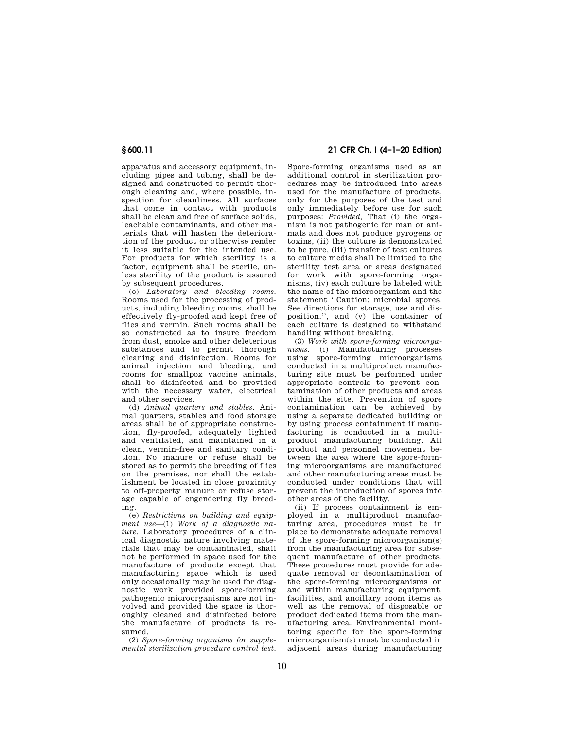apparatus and accessory equipment, including pipes and tubing, shall be designed and constructed to permit thorough cleaning and, where possible, inspection for cleanliness. All surfaces that come in contact with products shall be clean and free of surface solids, leachable contaminants, and other materials that will hasten the deterioration of the product or otherwise render it less suitable for the intended use. For products for which sterility is a factor, equipment shall be sterile, unless sterility of the product is assured by subsequent procedures.

(c) *Laboratory and bleeding rooms.*  Rooms used for the processing of products, including bleeding rooms, shall be effectively fly-proofed and kept free of flies and vermin. Such rooms shall be so constructed as to insure freedom from dust, smoke and other deleterious substances and to permit thorough cleaning and disinfection. Rooms for animal injection and bleeding, and rooms for smallpox vaccine animals, shall be disinfected and be provided with the necessary water, electrical and other services.

(d) *Animal quarters and stables.* Animal quarters, stables and food storage areas shall be of appropriate construction, fly-proofed, adequately lighted and ventilated, and maintained in a clean, vermin-free and sanitary condition. No manure or refuse shall be stored as to permit the breeding of flies on the premises, nor shall the establishment be located in close proximity to off-property manure or refuse storage capable of engendering fly breeding.

(e) *Restrictions on building and equipment use*—(1) *Work of a diagnostic nature.* Laboratory procedures of a clinical diagnostic nature involving materials that may be contaminated, shall not be performed in space used for the manufacture of products except that manufacturing space which is used only occasionally may be used for diagnostic work provided spore-forming pathogenic microorganisms are not involved and provided the space is thoroughly cleaned and disinfected before the manufacture of products is resumed.

(2) *Spore-forming organisms for supplemental sterilization procedure control test.* 

## **§ 600.11 21 CFR Ch. I (4–1–20 Edition)**

Spore-forming organisms used as an additional control in sterilization procedures may be introduced into areas used for the manufacture of products, only for the purposes of the test and only immediately before use for such purposes: *Provided,* That (i) the organism is not pathogenic for man or animals and does not produce pyrogens or toxins, (ii) the culture is demonstrated to be pure, (iii) transfer of test cultures to culture media shall be limited to the sterility test area or areas designated for work with spore-forming organisms, (iv) each culture be labeled with the name of the microorganism and the statement ''Caution: microbial spores. See directions for storage, use and disposition.'', and (v) the container of each culture is designed to withstand handling without breaking.

(3) *Work with spore-forming microorganisms.* (i) Manufacturing processes using spore-forming microorganisms conducted in a multiproduct manufacturing site must be performed under appropriate controls to prevent contamination of other products and areas within the site. Prevention of spore contamination can be achieved by using a separate dedicated building or by using process containment if manufacturing is conducted in a multiproduct manufacturing building. All product and personnel movement between the area where the spore-forming microorganisms are manufactured and other manufacturing areas must be conducted under conditions that will prevent the introduction of spores into other areas of the facility.

(ii) If process containment is employed in a multiproduct manufacturing area, procedures must be in place to demonstrate adequate removal of the spore-forming microorganism(s) from the manufacturing area for subsequent manufacture of other products. These procedures must provide for adequate removal or decontamination of the spore-forming microorganisms on and within manufacturing equipment, facilities, and ancillary room items as well as the removal of disposable or product dedicated items from the manufacturing area. Environmental monitoring specific for the spore-forming microorganism(s) must be conducted in adjacent areas during manufacturing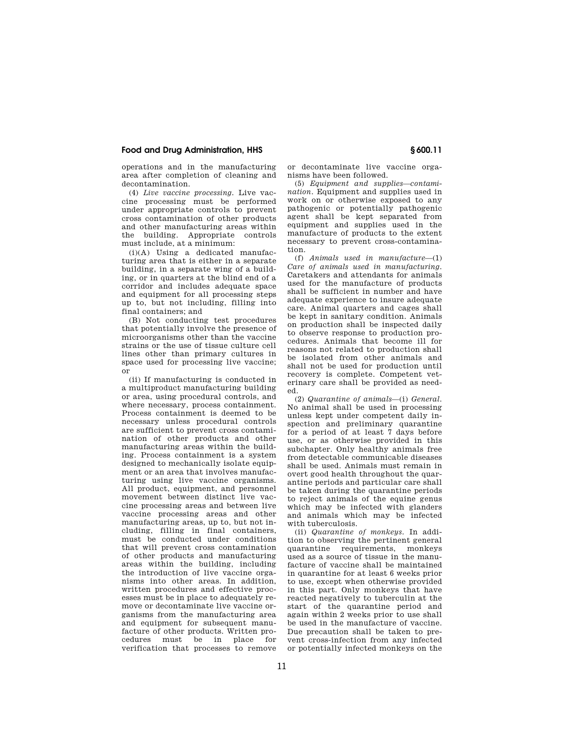operations and in the manufacturing area after completion of cleaning and decontamination.

(4) *Live vaccine processing.* Live vaccine processing must be performed under appropriate controls to prevent cross contamination of other products and other manufacturing areas within the building. Appropriate controls must include, at a minimum:

(i)(A) Using a dedicated manufacturing area that is either in a separate building, in a separate wing of a building, or in quarters at the blind end of a corridor and includes adequate space and equipment for all processing steps up to, but not including, filling into final containers; and

(B) Not conducting test procedures that potentially involve the presence of microorganisms other than the vaccine strains or the use of tissue culture cell lines other than primary cultures in space used for processing live vaccine; or

(ii) If manufacturing is conducted in a multiproduct manufacturing building or area, using procedural controls, and where necessary, process containment. Process containment is deemed to be necessary unless procedural controls are sufficient to prevent cross contamination of other products and other manufacturing areas within the building. Process containment is a system designed to mechanically isolate equipment or an area that involves manufacturing using live vaccine organisms. All product, equipment, and personnel movement between distinct live vaccine processing areas and between live vaccine processing areas and other manufacturing areas, up to, but not including, filling in final containers, must be conducted under conditions that will prevent cross contamination of other products and manufacturing areas within the building, including the introduction of live vaccine organisms into other areas. In addition, written procedures and effective processes must be in place to adequately remove or decontaminate live vaccine organisms from the manufacturing area and equipment for subsequent manufacture of other products. Written procedures must be in place for verification that processes to remove

or decontaminate live vaccine organisms have been followed.

(5) *Equipment and supplies—contamination.* Equipment and supplies used in work on or otherwise exposed to any pathogenic or potentially pathogenic agent shall be kept separated from equipment and supplies used in the manufacture of products to the extent necessary to prevent cross-contamination.

(f) *Animals used in manufacture*—(1) *Care of animals used in manufacturing.*  Caretakers and attendants for animals used for the manufacture of products shall be sufficient in number and have adequate experience to insure adequate care. Animal quarters and cages shall be kept in sanitary condition. Animals on production shall be inspected daily to observe response to production procedures. Animals that become ill for reasons not related to production shall be isolated from other animals and shall not be used for production until recovery is complete. Competent veterinary care shall be provided as needed.

(2) *Quarantine of animals*—(i) *General.*  No animal shall be used in processing unless kept under competent daily inspection and preliminary quarantine for a period of at least 7 days before use, or as otherwise provided in this subchapter. Only healthy animals free from detectable communicable diseases shall be used. Animals must remain in overt good health throughout the quarantine periods and particular care shall be taken during the quarantine periods to reject animals of the equine genus which may be infected with glanders and animals which may be infected with tuberculosis.

(ii) *Quarantine of monkeys.* In addition to observing the pertinent general quarantine requirements, monkeys used as a source of tissue in the manufacture of vaccine shall be maintained in quarantine for at least 6 weeks prior to use, except when otherwise provided in this part. Only monkeys that have reacted negatively to tuberculin at the start of the quarantine period and again within 2 weeks prior to use shall be used in the manufacture of vaccine. Due precaution shall be taken to prevent cross-infection from any infected or potentially infected monkeys on the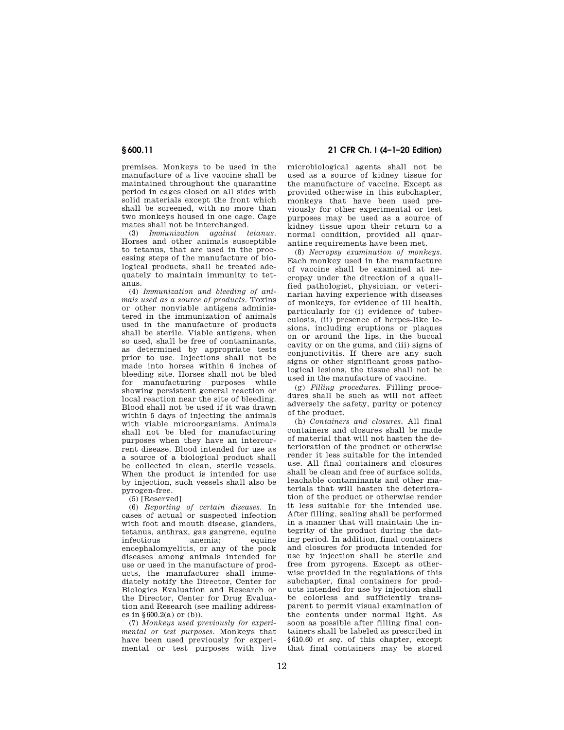premises. Monkeys to be used in the manufacture of a live vaccine shall be maintained throughout the quarantine period in cages closed on all sides with solid materials except the front which shall be screened, with no more than two monkeys housed in one cage. Cage mates shall not be interchanged.

(3) *Immunization against tetanus.*  Horses and other animals susceptible to tetanus, that are used in the processing steps of the manufacture of biological products, shall be treated adequately to maintain immunity to tetanus.

(4) *Immunization and bleeding of animals used as a source of products.* Toxins or other nonviable antigens administered in the immunization of animals used in the manufacture of products shall be sterile. Viable antigens, when so used, shall be free of contaminants, as determined by appropriate tests prior to use. Injections shall not be made into horses within 6 inches of bleeding site. Horses shall not be bled for manufacturing purposes while showing persistent general reaction or local reaction near the site of bleeding. Blood shall not be used if it was drawn within 5 days of injecting the animals with viable microorganisms. Animals shall not be bled for manufacturing purposes when they have an intercurrent disease. Blood intended for use as a source of a biological product shall be collected in clean, sterile vessels. When the product is intended for use by injection, such vessels shall also be pyrogen-free.

(5) [Reserved]

(6) *Reporting of certain diseases.* In cases of actual or suspected infection with foot and mouth disease, glanders, tetanus, anthrax, gas gangrene, equine infectious anemia; equine encephalomyelitis, or any of the pock diseases among animals intended for use or used in the manufacture of products, the manufacturer shall immediately notify the Director, Center for Biologics Evaluation and Research or the Director, Center for Drug Evaluation and Research (see mailing addresses in  $§600.2(a)$  or (b)).

(7) *Monkeys used previously for experimental or test purposes.* Monkeys that have been used previously for experimental or test purposes with live

**§ 600.11 21 CFR Ch. I (4–1–20 Edition)** 

microbiological agents shall not be used as a source of kidney tissue for the manufacture of vaccine. Except as provided otherwise in this subchapter, monkeys that have been used previously for other experimental or test purposes may be used as a source of kidney tissue upon their return to a normal condition, provided all quarantine requirements have been met.

(8) *Necropsy examination of monkeys.*  Each monkey used in the manufacture of vaccine shall be examined at necropsy under the direction of a qualified pathologist, physician, or veterinarian having experience with diseases of monkeys, for evidence of ill health, particularly for (i) evidence of tuberculosis, (ii) presence of herpes-like lesions, including eruptions or plaques on or around the lips, in the buccal cavity or on the gums, and (iii) signs of conjunctivitis. If there are any such signs or other significant gross pathological lesions, the tissue shall not be used in the manufacture of vaccine.

(g) *Filling procedures.* Filling procedures shall be such as will not affect adversely the safety, purity or potency of the product.

(h) *Containers and closures.* All final containers and closures shall be made of material that will not hasten the deterioration of the product or otherwise render it less suitable for the intended use. All final containers and closures shall be clean and free of surface solids, leachable contaminants and other materials that will hasten the deterioration of the product or otherwise render it less suitable for the intended use. After filling, sealing shall be performed in a manner that will maintain the integrity of the product during the dating period. In addition, final containers and closures for products intended for use by injection shall be sterile and free from pyrogens. Except as otherwise provided in the regulations of this subchapter, final containers for products intended for use by injection shall be colorless and sufficiently transparent to permit visual examination of the contents under normal light. As soon as possible after filling final containers shall be labeled as prescribed in §610.60 *et seq.* of this chapter, except that final containers may be stored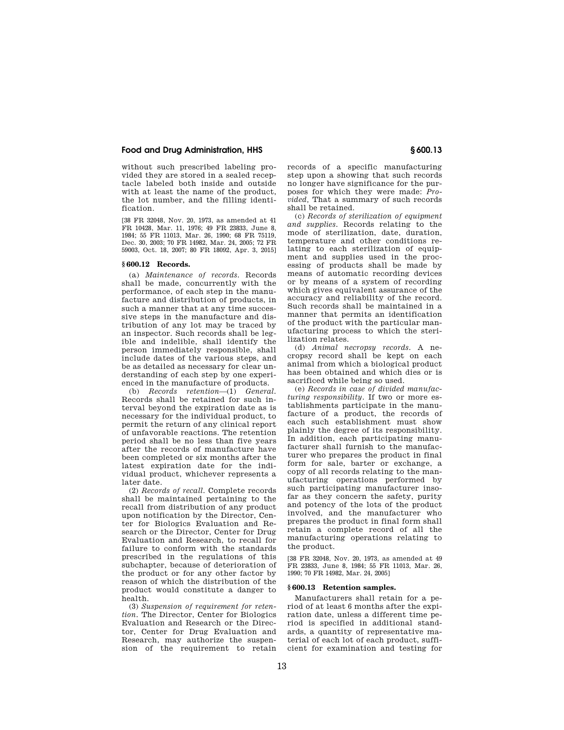without such prescribed labeling provided they are stored in a sealed receptacle labeled both inside and outside with at least the name of the product, the lot number, and the filling identification.

[38 FR 32048, Nov. 20, 1973, as amended at 41 FR 10428, Mar. 11, 1976; 49 FR 23833, June 8, 1984; 55 FR 11013, Mar. 26, 1990; 68 FR 75119, Dec. 30, 2003; 70 FR 14982, Mar. 24, 2005; 72 FR 59003, Oct. 18, 2007; 80 FR 18092, Apr. 3, 2015]

#### **§ 600.12 Records.**

(a) *Maintenance of records.* Records shall be made, concurrently with the performance, of each step in the manufacture and distribution of products, in such a manner that at any time successive steps in the manufacture and distribution of any lot may be traced by an inspector. Such records shall be legible and indelible, shall identify the person immediately responsible, shall include dates of the various steps, and be as detailed as necessary for clear understanding of each step by one experienced in the manufacture of products.

(b) *Records retention*—(1) *General.*  Records shall be retained for such interval beyond the expiration date as is necessary for the individual product, to permit the return of any clinical report of unfavorable reactions. The retention period shall be no less than five years after the records of manufacture have been completed or six months after the latest expiration date for the individual product, whichever represents a later date.

(2) *Records of recall.* Complete records shall be maintained pertaining to the recall from distribution of any product upon notification by the Director, Center for Biologics Evaluation and Research or the Director, Center for Drug Evaluation and Research, to recall for failure to conform with the standards prescribed in the regulations of this subchapter, because of deterioration of the product or for any other factor by reason of which the distribution of the product would constitute a danger to health.

(3) *Suspension of requirement for retention.* The Director, Center for Biologics Evaluation and Research or the Director, Center for Drug Evaluation and Research, may authorize the suspension of the requirement to retain

records of a specific manufacturing step upon a showing that such records no longer have significance for the purposes for which they were made: *Provided,* That a summary of such records shall be retained.

(c) *Records of sterilization of equipment and supplies.* Records relating to the mode of sterilization, date, duration, temperature and other conditions relating to each sterilization of equipment and supplies used in the processing of products shall be made by means of automatic recording devices or by means of a system of recording which gives equivalent assurance of the accuracy and reliability of the record. Such records shall be maintained in a manner that permits an identification of the product with the particular manufacturing process to which the sterilization relates.

(d) *Animal necropsy records.* A necropsy record shall be kept on each animal from which a biological product has been obtained and which dies or is sacrificed while being so used.

(e) *Records in case of divided manufacturing responsibility.* If two or more establishments participate in the manufacture of a product, the records of each such establishment must show plainly the degree of its responsibility. In addition, each participating manufacturer shall furnish to the manufacturer who prepares the product in final form for sale, barter or exchange, a copy of all records relating to the manufacturing operations performed by such participating manufacturer insofar as they concern the safety, purity and potency of the lots of the product involved, and the manufacturer who prepares the product in final form shall retain a complete record of all the manufacturing operations relating to the product.

[38 FR 32048, Nov. 20, 1973, as amended at 49 FR 23833, June 8, 1984; 55 FR 11013, Mar. 26, 1990; 70 FR 14982, Mar. 24, 2005]

#### **§ 600.13 Retention samples.**

Manufacturers shall retain for a period of at least 6 months after the expiration date, unless a different time period is specified in additional standards, a quantity of representative material of each lot of each product, sufficient for examination and testing for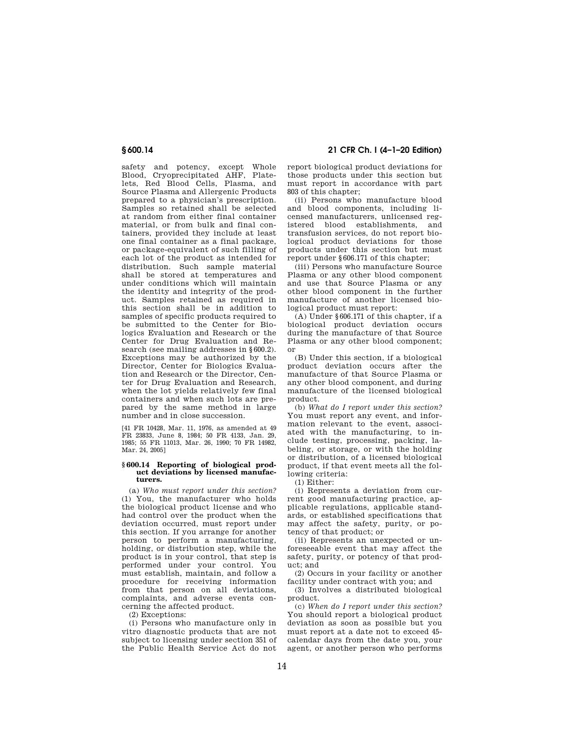safety and potency, except Whole Blood, Cryoprecipitated AHF, Platelets, Red Blood Cells, Plasma, and Source Plasma and Allergenic Products prepared to a physician's prescription. Samples so retained shall be selected at random from either final container material, or from bulk and final containers, provided they include at least one final container as a final package, or package-equivalent of such filling of each lot of the product as intended for distribution. Such sample material shall be stored at temperatures and under conditions which will maintain the identity and integrity of the product. Samples retained as required in this section shall be in addition to samples of specific products required to be submitted to the Center for Biologics Evaluation and Research or the Center for Drug Evaluation and Research (see mailing addresses in §600.2). Exceptions may be authorized by the Director, Center for Biologics Evaluation and Research or the Director, Center for Drug Evaluation and Research, when the lot yields relatively few final containers and when such lots are prepared by the same method in large number and in close succession.

[41 FR 10428, Mar. 11, 1976, as amended at 49 FR 23833, June 8, 1984; 50 FR 4133, Jan. 29, 1985; 55 FR 11013, Mar. 26, 1990; 70 FR 14982, Mar. 24, 2005]

#### **§ 600.14 Reporting of biological product deviations by licensed manufacturers.**

(a) *Who must report under this section?*  (1) You, the manufacturer who holds the biological product license and who had control over the product when the deviation occurred, must report under this section. If you arrange for another person to perform a manufacturing, holding, or distribution step, while the product is in your control, that step is performed under your control. You must establish, maintain, and follow a procedure for receiving information from that person on all deviations, complaints, and adverse events concerning the affected product.

(2) Exceptions:

(i) Persons who manufacture only in vitro diagnostic products that are not subject to licensing under section 351 of the Public Health Service Act do not

**§ 600.14 21 CFR Ch. I (4–1–20 Edition)** 

report biological product deviations for those products under this section but must report in accordance with part 803 of this chapter;

(ii) Persons who manufacture blood and blood components, including licensed manufacturers, unlicensed registered blood establishments, and transfusion services, do not report biological product deviations for those products under this section but must report under §606.171 of this chapter;

(iii) Persons who manufacture Source Plasma or any other blood component and use that Source Plasma or any other blood component in the further manufacture of another licensed biological product must report:

(A) Under §606.171 of this chapter, if a biological product deviation occurs during the manufacture of that Source Plasma or any other blood component; or

(B) Under this section, if a biological product deviation occurs after the manufacture of that Source Plasma or any other blood component, and during manufacture of the licensed biological product.

(b) *What do I report under this section?*  You must report any event, and information relevant to the event, associated with the manufacturing, to include testing, processing, packing, labeling, or storage, or with the holding or distribution, of a licensed biological product, if that event meets all the following criteria:

(1) Either:

(i) Represents a deviation from current good manufacturing practice, applicable regulations, applicable standards, or established specifications that may affect the safety, purity, or potency of that product; or

(ii) Represents an unexpected or unforeseeable event that may affect the safety, purity, or potency of that product; and

(2) Occurs in your facility or another facility under contract with you; and

(3) Involves a distributed biological product.

(c) *When do I report under this section?*  You should report a biological product deviation as soon as possible but you must report at a date not to exceed 45 calendar days from the date you, your agent, or another person who performs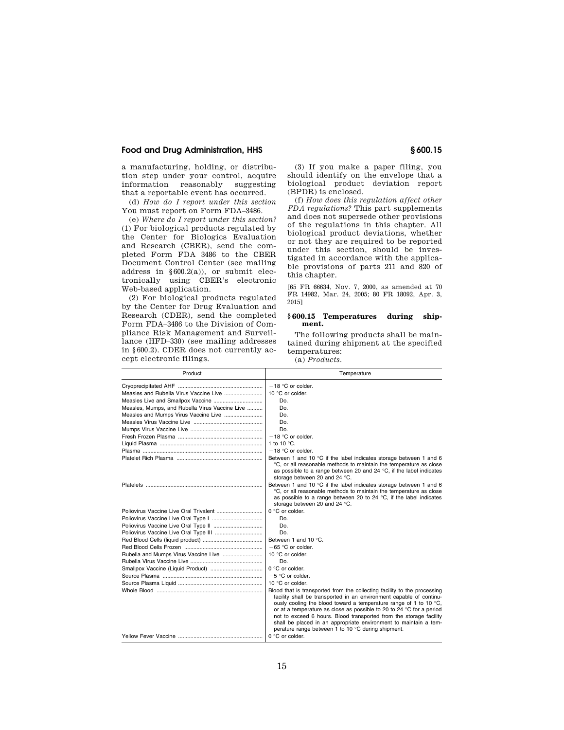a manufacturing, holding, or distribution step under your control, acquire information reasonably suggesting that a reportable event has occurred.

(d) *How do I report under this section*  You must report on Form FDA–3486.

(e) *Where do I report under this section?*  (1) For biological products regulated by the Center for Biologics Evaluation and Research (CBER), send the completed Form FDA 3486 to the CBER Document Control Center (see mailing address in §600.2(a)), or submit electronically using CBER's electronic Web-based application.

(2) For biological products regulated by the Center for Drug Evaluation and Research (CDER), send the completed Form FDA–3486 to the Division of Compliance Risk Management and Surveillance (HFD–330) (see mailing addresses in §600.2). CDER does not currently accept electronic filings.

(3) If you make a paper filing, you should identify on the envelope that a biological product deviation report (BPDR) is enclosed.

(f) *How does this regulation affect other FDA regulations?* This part supplements and does not supersede other provisions of the regulations in this chapter. All biological product deviations, whether or not they are required to be reported under this section, should be investigated in accordance with the applicable provisions of parts 211 and 820 of this chapter.

[65 FR 66634, Nov. 7, 2000, as amended at 70 FR 14982, Mar. 24, 2005; 80 FR 18092, Apr. 3, 2015]

#### **§ 600.15 Temperatures during shipment.**

The following products shall be maintained during shipment at the specified temperatures: (a) *Products.* 

| Product                                        | Temperature                                                                                                  |
|------------------------------------------------|--------------------------------------------------------------------------------------------------------------|
|                                                | $-18$ °C or colder.                                                                                          |
|                                                | 10 °C or colder.                                                                                             |
|                                                | Do.                                                                                                          |
| Measles, Mumps, and Rubella Virus Vaccine Live | Do.                                                                                                          |
|                                                | Do.                                                                                                          |
|                                                | Do.                                                                                                          |
|                                                | Do.                                                                                                          |
|                                                | $-18$ °C or colder.                                                                                          |
|                                                | 1 to 10 $°C$ .                                                                                               |
|                                                | $-18$ °C or colder.                                                                                          |
|                                                | Between 1 and 10 °C if the label indicates storage between 1 and 6                                           |
|                                                | °C, or all reasonable methods to maintain the temperature as close                                           |
|                                                | as possible to a range between 20 and 24 °C, if the label indicates                                          |
|                                                | storage between 20 and 24 °C.                                                                                |
|                                                | Between 1 and 10 °C if the label indicates storage between 1 and 6                                           |
|                                                | °C, or all reasonable methods to maintain the temperature as close                                           |
|                                                | as possible to a range between 20 to 24 $\degree$ C, if the label indicates<br>storage between 20 and 24 °C. |
|                                                | $0 °C$ or colder.                                                                                            |
|                                                | Do.                                                                                                          |
|                                                | Do.                                                                                                          |
|                                                | Do.                                                                                                          |
|                                                | Between 1 and 10 °C.                                                                                         |
|                                                | $-65$ °C or colder.                                                                                          |
| Rubella and Mumps Virus Vaccine Live           | 10 °C or colder.                                                                                             |
|                                                | Do.                                                                                                          |
|                                                | 0 °C or colder.                                                                                              |
|                                                | $-5$ °C or colder.                                                                                           |
|                                                | 10 °C or colder.                                                                                             |
|                                                | Blood that is transported from the collecting facility to the processing                                     |
|                                                | facility shall be transported in an environment capable of continu-                                          |
|                                                | ously cooling the blood toward a temperature range of 1 to 10 °C.                                            |
|                                                | or at a temperature as close as possible to 20 to 24 °C for a period                                         |
|                                                | not to exceed 6 hours. Blood transported from the storage facility                                           |
|                                                | shall be placed in an appropriate environment to maintain a tem-                                             |
|                                                | perature range between 1 to 10 °C during shipment.                                                           |
|                                                | 0 °C or colder.                                                                                              |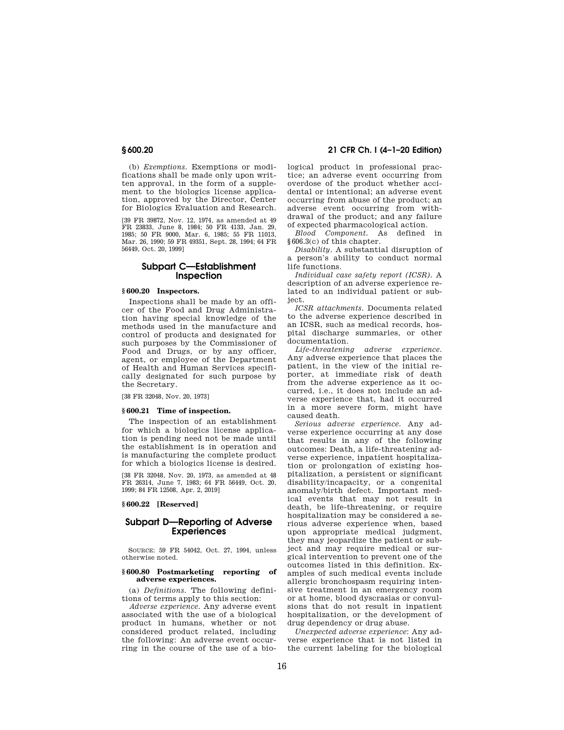(b) *Exemptions.* Exemptions or modifications shall be made only upon written approval, in the form of a supplement to the biologics license application, approved by the Director, Center for Biologics Evaluation and Research.

[39 FR 39872, Nov. 12, 1974, as amended at 49 FR 23833, June 8, 1984; 50 FR 4133, Jan. 29, 1985; 50 FR 9000, Mar. 6, 1985; 55 FR 11013, Mar. 26, 1990; 59 FR 49351, Sept. 28, 1994; 64 FR 56449, Oct. 20, 1999]

## **Subpart C—Establishment Inspection**

#### **§ 600.20 Inspectors.**

Inspections shall be made by an officer of the Food and Drug Administration having special knowledge of the methods used in the manufacture and control of products and designated for such purposes by the Commissioner of Food and Drugs, or by any officer, agent, or employee of the Department of Health and Human Services specifically designated for such purpose by the Secretary.

[38 FR 32048, Nov. 20, 1973]

### **§ 600.21 Time of inspection.**

The inspection of an establishment for which a biologics license application is pending need not be made until the establishment is in operation and is manufacturing the complete product for which a biologics license is desired.

[38 FR 32048, Nov. 20, 1973, as amended at 48 FR 26314, June 7, 1983; 64 FR 56449, Oct. 20, 1999; 84 FR 12508, Apr. 2, 2019]

#### **§ 600.22 [Reserved]**

## **Subpart D—Reporting of Adverse Experiences**

SOURCE: 59 FR 54042, Oct. 27, 1994, unless otherwise noted.

#### **§ 600.80 Postmarketing reporting of adverse experiences.**

(a) *Definitions.* The following definitions of terms apply to this section:

*Adverse experience.* Any adverse event associated with the use of a biological product in humans, whether or not considered product related, including the following: An adverse event occurring in the course of the use of a bio-

## **§ 600.20 21 CFR Ch. I (4–1–20 Edition)**

logical product in professional practice; an adverse event occurring from overdose of the product whether accidental or intentional; an adverse event occurring from abuse of the product; an adverse event occurring from withdrawal of the product; and any failure of expected pharmacological action.

*Blood Component.* As defined in §606.3(c) of this chapter.

*Disability.* A substantial disruption of a person's ability to conduct normal life functions.

*Individual case safety report (ICSR).* A description of an adverse experience related to an individual patient or subject.

*ICSR attachments.* Documents related to the adverse experience described in an ICSR, such as medical records, hospital discharge summaries, or other documentation.

*Life-threatening adverse experience.*  Any adverse experience that places the patient, in the view of the initial reporter, at immediate risk of death from the adverse experience as it occurred, i.e., it does not include an adverse experience that, had it occurred in a more severe form, might have caused death.

*Serious adverse experience.* Any adverse experience occurring at any dose that results in any of the following outcomes: Death, a life-threatening adverse experience, inpatient hospitalization or prolongation of existing hospitalization, a persistent or significant disability/incapacity, or a congenital anomaly/birth defect. Important medical events that may not result in death, be life-threatening, or require hospitalization may be considered a serious adverse experience when, based upon appropriate medical judgment, they may jeopardize the patient or subject and may require medical or surgical intervention to prevent one of the outcomes listed in this definition. Examples of such medical events include allergic bronchospasm requiring intensive treatment in an emergency room or at home, blood dyscrasias or convulsions that do not result in inpatient hospitalization, or the development of drug dependency or drug abuse.

*Unexpected adverse experience*: Any adverse experience that is not listed in the current labeling for the biological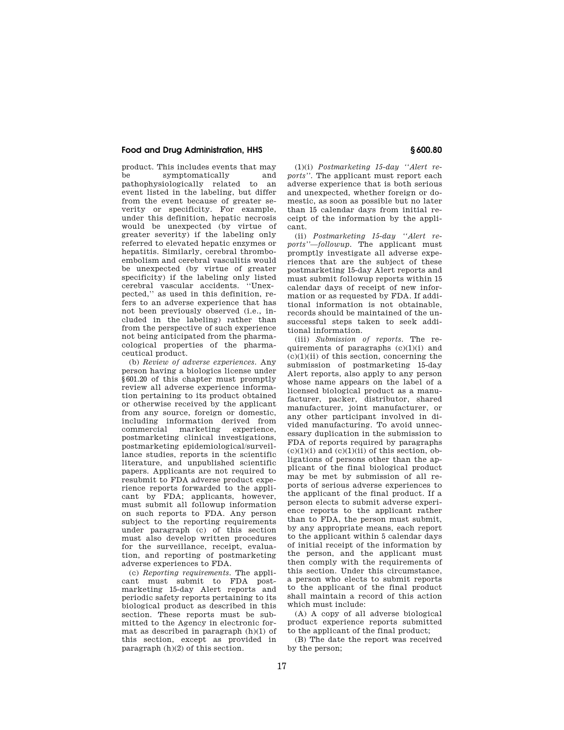product. This includes events that may be symptomatically and pathophysiologically related to an event listed in the labeling, but differ from the event because of greater severity or specificity. For example, under this definition, hepatic necrosis would be unexpected (by virtue of greater severity) if the labeling only referred to elevated hepatic enzymes or hepatitis. Similarly, cerebral thromboembolism and cerebral vasculitis would be unexpected (by virtue of greater specificity) if the labeling only listed cerebral vascular accidents. ''Unexpected,'' as used in this definition, refers to an adverse experience that has not been previously observed (i.e., included in the labeling) rather than from the perspective of such experience not being anticipated from the pharmacological properties of the pharmaceutical product.

(b) *Review of adverse experiences.* Any person having a biologics license under §601.20 of this chapter must promptly review all adverse experience information pertaining to its product obtained or otherwise received by the applicant from any source, foreign or domestic, including information derived from commercial marketing experience, postmarketing clinical investigations, postmarketing epidemiological/surveillance studies, reports in the scientific literature, and unpublished scientific papers. Applicants are not required to resubmit to FDA adverse product experience reports forwarded to the applicant by FDA; applicants, however, must submit all followup information on such reports to FDA. Any person subject to the reporting requirements under paragraph (c) of this section must also develop written procedures for the surveillance, receipt, evaluation, and reporting of postmarketing adverse experiences to FDA.

(c) *Reporting requirements.* The applicant must submit to FDA postmarketing 15-day Alert reports and periodic safety reports pertaining to its biological product as described in this section. These reports must be submitted to the Agency in electronic format as described in paragraph (h)(1) of this section, except as provided in paragraph  $(h)(2)$  of this section.

(1)(i) *Postmarketing 15-day ''Alert reports''.* The applicant must report each adverse experience that is both serious and unexpected, whether foreign or domestic, as soon as possible but no later than 15 calendar days from initial receipt of the information by the applicant.

(ii) *Postmarketing 15-day ''Alert reports''—followup.* The applicant must promptly investigate all adverse experiences that are the subject of these postmarketing 15-day Alert reports and must submit followup reports within 15 calendar days of receipt of new information or as requested by FDA. If additional information is not obtainable, records should be maintained of the unsuccessful steps taken to seek additional information.

(iii) *Submission of reports.* The requirements of paragraphs  $(c)(1)(i)$  and  $(c)(1)(ii)$  of this section, concerning the submission of postmarketing 15-day Alert reports, also apply to any person whose name appears on the label of a licensed biological product as a manufacturer, packer, distributor, shared manufacturer, joint manufacturer, or any other participant involved in divided manufacturing. To avoid unnecessary duplication in the submission to FDA of reports required by paragraphs  $(c)(1)(i)$  and  $(c)(1)(ii)$  of this section, obligations of persons other than the applicant of the final biological product may be met by submission of all reports of serious adverse experiences to the applicant of the final product. If a person elects to submit adverse experience reports to the applicant rather than to FDA, the person must submit, by any appropriate means, each report to the applicant within 5 calendar days of initial receipt of the information by the person, and the applicant must then comply with the requirements of this section. Under this circumstance, a person who elects to submit reports to the applicant of the final product shall maintain a record of this action which must include:

(A) A copy of all adverse biological product experience reports submitted to the applicant of the final product;

(B) The date the report was received by the person;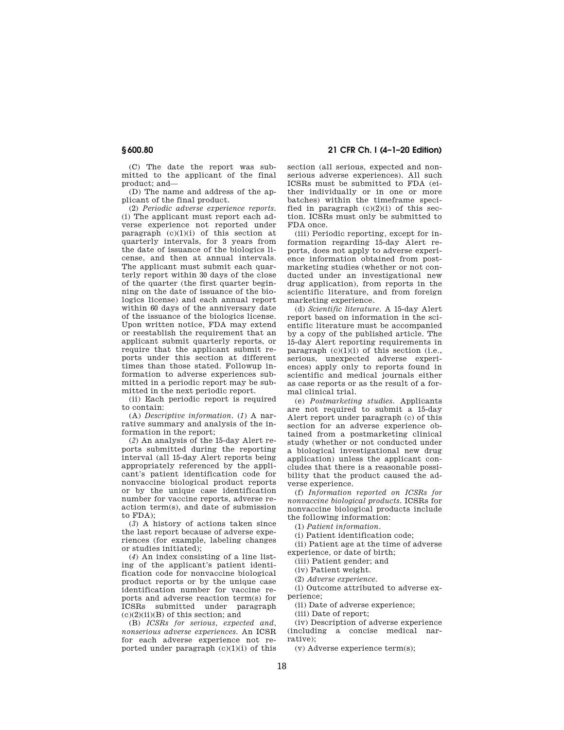(C) The date the report was submitted to the applicant of the final product; and—

(D) The name and address of the applicant of the final product.

(2) *Periodic adverse experience reports.*  (i) The applicant must report each adverse experience not reported under paragraph  $(c)(1)(i)$  of this section at quarterly intervals, for 3 years from the date of issuance of the biologics license, and then at annual intervals. The applicant must submit each quarterly report within 30 days of the close of the quarter (the first quarter beginning on the date of issuance of the biologics license) and each annual report within 60 days of the anniversary date of the issuance of the biologics license. Upon written notice, FDA may extend or reestablish the requirement that an applicant submit quarterly reports, or require that the applicant submit reports under this section at different times than those stated. Followup information to adverse experiences submitted in a periodic report may be submitted in the next periodic report.

(ii) Each periodic report is required to contain:

(A) *Descriptive information.* (*1*) A narrative summary and analysis of the information in the report;

(*2*) An analysis of the 15-day Alert reports submitted during the reporting interval (all 15-day Alert reports being appropriately referenced by the applicant's patient identification code for nonvaccine biological product reports or by the unique case identification number for vaccine reports, adverse reaction term(s), and date of submission to FDA);

(*3*) A history of actions taken since the last report because of adverse experiences (for example, labeling changes or studies initiated);

(*4*) An index consisting of a line listing of the applicant's patient identification code for nonvaccine biological product reports or by the unique case identification number for vaccine reports and adverse reaction term(s) for ICSRs submitted under paragraph  $(c)(2)(ii)(B)$  of this section; and

(B) *ICSRs for serious, expected and, nonserious adverse experiences.* An ICSR for each adverse experience not reported under paragraph  $(c)(1)(i)$  of this

**§ 600.80 21 CFR Ch. I (4–1–20 Edition)** 

section (all serious, expected and nonserious adverse experiences). All such ICSRs must be submitted to FDA (either individually or in one or more batches) within the timeframe specified in paragraph  $(c)(2)(i)$  of this section. ICSRs must only be submitted to FDA once.

(iii) Periodic reporting, except for information regarding 15-day Alert reports, does not apply to adverse experience information obtained from postmarketing studies (whether or not conducted under an investigational new drug application), from reports in the scientific literature, and from foreign marketing experience.

(d) *Scientific literature.* A 15-day Alert report based on information in the scientific literature must be accompanied by a copy of the published article. The 15-day Alert reporting requirements in paragraph  $(c)(1)(i)$  of this section (i.e., serious, unexpected adverse experiences) apply only to reports found in scientific and medical journals either as case reports or as the result of a formal clinical trial.

(e) *Postmarketing studies.* Applicants are not required to submit a 15-day Alert report under paragraph (c) of this section for an adverse experience obtained from a postmarketing clinical study (whether or not conducted under a biological investigational new drug application) unless the applicant concludes that there is a reasonable possibility that the product caused the adverse experience.

(f) *Information reported on ICSRs for nonvaccine biological products.* ICSRs for nonvaccine biological products include the following information:

(1) *Patient information.* 

(i) Patient identification code;

(ii) Patient age at the time of adverse experience, or date of birth;

(iii) Patient gender; and

(iv) Patient weight.

(2) *Adverse experience.* 

(i) Outcome attributed to adverse experience;

(ii) Date of adverse experience;

(iii) Date of report;

(iv) Description of adverse experience (including a concise medical narrative);

(v) Adverse experience term(s);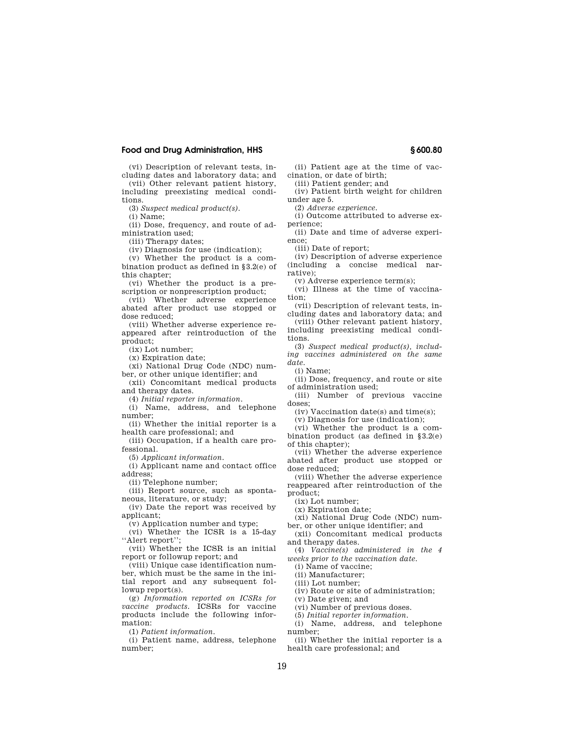(vi) Description of relevant tests, including dates and laboratory data; and (vii) Other relevant patient history,

including preexisting medical conditions. (3) *Suspect medical product(s).* 

 $(i)$  Name;

(ii) Dose, frequency, and route of administration used;

(iii) Therapy dates;

(iv) Diagnosis for use (indication);

(v) Whether the product is a combination product as defined in §3.2(e) of this chapter;

(vi) Whether the product is a prescription or nonprescription product;

(vii) Whether adverse experience abated after product use stopped or dose reduced;

(viii) Whether adverse experience reappeared after reintroduction of the product;

(ix) Lot number;

(x) Expiration date;

(xi) National Drug Code (NDC) number, or other unique identifier; and

(xii) Concomitant medical products and therapy dates.

(4) *Initial reporter information.* 

(i) Name, address, and telephone number;

(ii) Whether the initial reporter is a health care professional; and

(iii) Occupation, if a health care professional.

(5) *Applicant information.* 

(i) Applicant name and contact office address;

(ii) Telephone number;

(iii) Report source, such as spontaneous, literature, or study;

(iv) Date the report was received by applicant;

(v) Application number and type;

(vi) Whether the ICSR is a 15-day ''Alert report'';

(vii) Whether the ICSR is an initial report or followup report; and

(viii) Unique case identification number, which must be the same in the initial report and any subsequent followup report(s).

(g) *Information reported on ICSRs for vaccine products.* ICSRs for vaccine products include the following information:

(1) *Patient information.* 

(i) Patient name, address, telephone number;

(ii) Patient age at the time of vaccination, or date of birth;

(iii) Patient gender; and

(iv) Patient birth weight for children under age 5.

(2) *Adverse experience.* 

(i) Outcome attributed to adverse experience;

(ii) Date and time of adverse experience;

(iii) Date of report;

(iv) Description of adverse experience (including a concise medical narrative);

(v) Adverse experience term(s);

(vi) Illness at the time of vaccination;

(vii) Description of relevant tests, including dates and laboratory data; and

(viii) Other relevant patient history, including preexisting medical conditions.

(3) *Suspect medical product(s), including vaccines administered on the same date.* 

(i) Name;

(ii) Dose, frequency, and route or site of administration used;

(iii) Number of previous vaccine doses;

(iv) Vaccination date(s) and time(s);

(v) Diagnosis for use (indication);

(vi) Whether the product is a combination product (as defined in §3.2(e) of this chapter);

(vii) Whether the adverse experience abated after product use stopped or dose reduced;

(viii) Whether the adverse experience reappeared after reintroduction of the product;

(ix) Lot number;

(x) Expiration date;

(xi) National Drug Code (NDC) number, or other unique identifier; and

(xii) Concomitant medical products and therapy dates.

(4) *Vaccine(s) administered in the 4 weeks prior to the vaccination date.* 

(i) Name of vaccine;

(ii) Manufacturer;

(iii) Lot number;

(iv) Route or site of administration;

(v) Date given; and

(vi) Number of previous doses.

(5) *Initial reporter information.* 

(i) Name, address, and telephone number;

(ii) Whether the initial reporter is a health care professional; and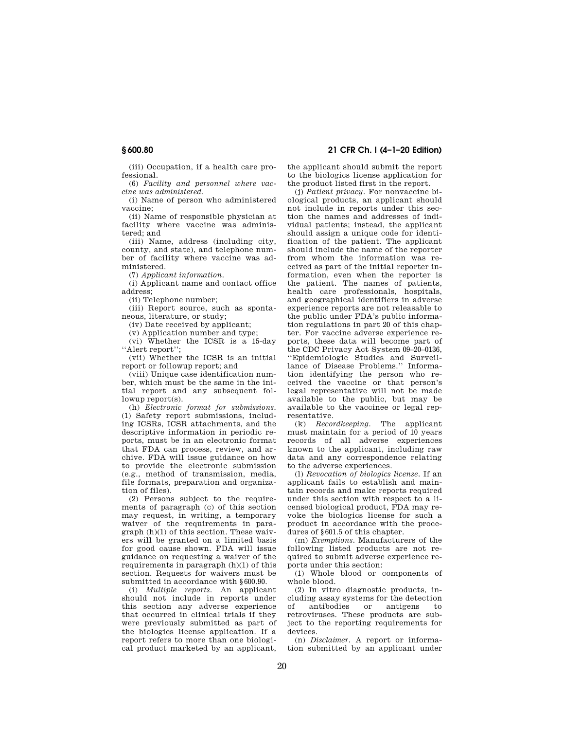(iii) Occupation, if a health care professional.

(6) *Facility and personnel where vaccine was administered.* 

(i) Name of person who administered vaccine;

(ii) Name of responsible physician at facility where vaccine was administered; and

(iii) Name, address (including city, county, and state), and telephone number of facility where vaccine was administered.

(7) *Applicant information.* 

(i) Applicant name and contact office address;

(ii) Telephone number;

(iii) Report source, such as spontaneous, literature, or study;

(iv) Date received by applicant;

(v) Application number and type;

(vi) Whether the ICSR is a 15-day ''Alert report'';

(vii) Whether the ICSR is an initial report or followup report; and

(viii) Unique case identification number, which must be the same in the initial report and any subsequent followup report(s).

(h) *Electronic format for submissions.*  (1) Safety report submissions, including ICSRs, ICSR attachments, and the descriptive information in periodic reports, must be in an electronic format that FDA can process, review, and archive. FDA will issue guidance on how to provide the electronic submission (e.g., method of transmission, media, file formats, preparation and organization of files).

(2) Persons subject to the requirements of paragraph (c) of this section may request, in writing, a temporary waiver of the requirements in paragraph (h)(1) of this section. These waivers will be granted on a limited basis for good cause shown. FDA will issue guidance on requesting a waiver of the requirements in paragraph (h)(1) of this section. Requests for waivers must be submitted in accordance with §600.90.

(i) *Multiple reports.* An applicant should not include in reports under this section any adverse experience that occurred in clinical trials if they were previously submitted as part of the biologics license application. If a report refers to more than one biological product marketed by an applicant,

## **§ 600.80 21 CFR Ch. I (4–1–20 Edition)**

the applicant should submit the report to the biologics license application for the product listed first in the report.

(j) *Patient privacy.* For nonvaccine biological products, an applicant should not include in reports under this section the names and addresses of individual patients; instead, the applicant should assign a unique code for identification of the patient. The applicant should include the name of the reporter from whom the information was received as part of the initial reporter information, even when the reporter is the patient. The names of patients, health care professionals, hospitals, and geographical identifiers in adverse experience reports are not releasable to the public under FDA's public information regulations in part 20 of this chapter. For vaccine adverse experience reports, these data will become part of the CDC Privacy Act System 09–20–0136, ''Epidemiologic Studies and Surveillance of Disease Problems.'' Information identifying the person who received the vaccine or that person's legal representative will not be made available to the public, but may be available to the vaccinee or legal representative.

(k) *Recordkeeping.* The applicant must maintain for a period of 10 years records of all adverse experiences known to the applicant, including raw data and any correspondence relating to the adverse experiences.

(l) *Revocation of biologics license.* If an applicant fails to establish and maintain records and make reports required under this section with respect to a licensed biological product, FDA may revoke the biologics license for such a product in accordance with the procedures of §601.5 of this chapter.

(m) *Exemptions.* Manufacturers of the following listed products are not required to submit adverse experience reports under this section:

(1) Whole blood or components of whole blood.

(2) In vitro diagnostic products, including assay systems for the detection of antibodies or antigens to retroviruses. These products are subject to the reporting requirements for devices.

(n) *Disclaimer.* A report or information submitted by an applicant under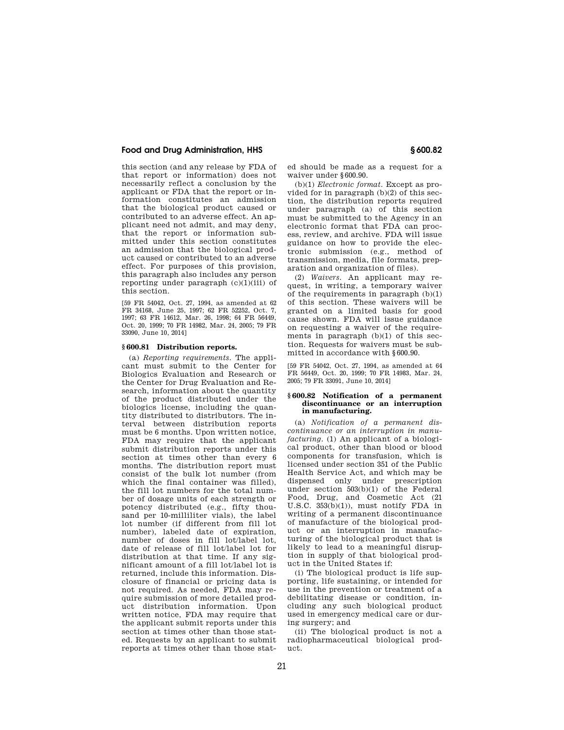this section (and any release by FDA of that report or information) does not necessarily reflect a conclusion by the applicant or FDA that the report or information constitutes an admission that the biological product caused or contributed to an adverse effect. An applicant need not admit, and may deny, that the report or information submitted under this section constitutes an admission that the biological product caused or contributed to an adverse effect. For purposes of this provision, this paragraph also includes any person reporting under paragraph  $(c)(1)(iii)$  of this section.

[59 FR 54042, Oct. 27, 1994, as amended at 62 FR 34168, June 25, 1997; 62 FR 52252, Oct. 7, 1997; 63 FR 14612, Mar. 26, 1998; 64 FR 56449, Oct. 20, 1999; 70 FR 14982, Mar. 24, 2005; 79 FR 33090, June 10, 2014]

#### **§ 600.81 Distribution reports.**

(a) *Reporting requirements.* The applicant must submit to the Center for Biologics Evaluation and Research or the Center for Drug Evaluation and Research, information about the quantity of the product distributed under the biologics license, including the quantity distributed to distributors. The interval between distribution reports must be 6 months. Upon written notice, FDA may require that the applicant submit distribution reports under this section at times other than every 6 months. The distribution report must consist of the bulk lot number (from which the final container was filled), the fill lot numbers for the total number of dosage units of each strength or potency distributed (e.g., fifty thousand per 10-milliliter vials), the label lot number (if different from fill lot number), labeled date of expiration, number of doses in fill lot/label lot, date of release of fill lot/label lot for distribution at that time. If any significant amount of a fill lot/label lot is returned, include this information. Disclosure of financial or pricing data is not required. As needed, FDA may require submission of more detailed product distribution information. Upon written notice, FDA may require that the applicant submit reports under this section at times other than those stated. Requests by an applicant to submit reports at times other than those stated should be made as a request for a waiver under §600.90.

(b)(1) *Electronic format.* Except as provided for in paragraph (b)(2) of this section, the distribution reports required under paragraph (a) of this section must be submitted to the Agency in an electronic format that FDA can process, review, and archive. FDA will issue guidance on how to provide the electronic submission (e.g., method of transmission, media, file formats, preparation and organization of files).

(2) *Waivers.* An applicant may request, in writing, a temporary waiver of the requirements in paragraph (b)(1) of this section. These waivers will be granted on a limited basis for good cause shown. FDA will issue guidance on requesting a waiver of the requirements in paragraph  $(b)(1)$  of this section. Requests for waivers must be submitted in accordance with §600.90.

[59 FR 54042, Oct. 27, 1994, as amended at 64 FR 56449, Oct. 20, 1999; 70 FR 14983, Mar. 24, 2005; 79 FR 33091, June 10, 2014]

#### **§ 600.82 Notification of a permanent discontinuance or an interruption in manufacturing.**

(a) *Notification of a permanent discontinuance or an interruption in manufacturing.* (1) An applicant of a biological product, other than blood or blood components for transfusion, which is licensed under section 351 of the Public Health Service Act, and which may be dispensed only under prescription under section 503(b)(1) of the Federal Food, Drug, and Cosmetic Act (21 U.S.C. 353(b)(1)), must notify FDA in writing of a permanent discontinuance of manufacture of the biological product or an interruption in manufacturing of the biological product that is likely to lead to a meaningful disruption in supply of that biological product in the United States if:

(i) The biological product is life supporting, life sustaining, or intended for use in the prevention or treatment of a debilitating disease or condition, including any such biological product used in emergency medical care or during surgery; and

(ii) The biological product is not a radiopharmaceutical biological product.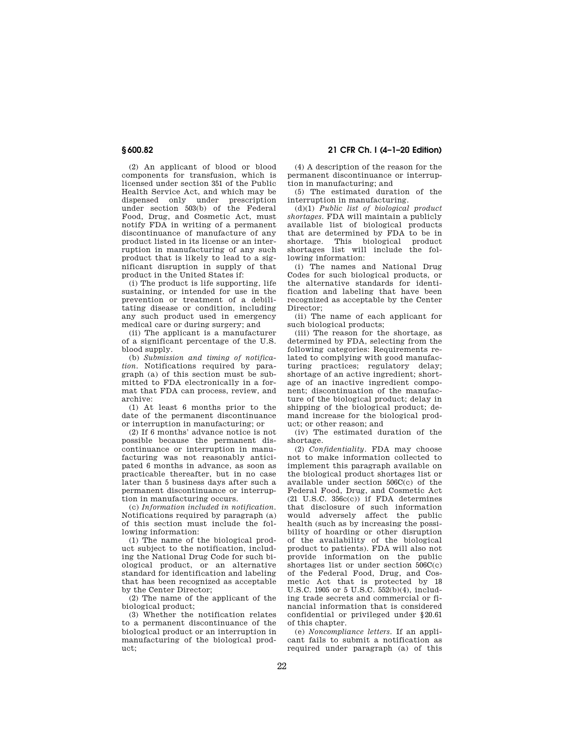(2) An applicant of blood or blood components for transfusion, which is licensed under section 351 of the Public Health Service Act, and which may be dispensed only under prescription under section 503(b) of the Federal Food, Drug, and Cosmetic Act, must notify FDA in writing of a permanent discontinuance of manufacture of any product listed in its license or an interruption in manufacturing of any such product that is likely to lead to a significant disruption in supply of that product in the United States if:

(i) The product is life supporting, life sustaining, or intended for use in the prevention or treatment of a debilitating disease or condition, including any such product used in emergency medical care or during surgery; and

(ii) The applicant is a manufacturer of a significant percentage of the U.S. blood supply.

(b) *Submission and timing of notification.* Notifications required by paragraph (a) of this section must be submitted to FDA electronically in a format that FDA can process, review, and archive:

(1) At least 6 months prior to the date of the permanent discontinuance or interruption in manufacturing; or

(2) If 6 months' advance notice is not possible because the permanent discontinuance or interruption in manufacturing was not reasonably anticipated 6 months in advance, as soon as practicable thereafter, but in no case later than 5 business days after such a permanent discontinuance or interruption in manufacturing occurs.

(c) *Information included in notification.*  Notifications required by paragraph (a) of this section must include the following information:

(1) The name of the biological product subject to the notification, including the National Drug Code for such biological product, or an alternative standard for identification and labeling that has been recognized as acceptable by the Center Director;

(2) The name of the applicant of the biological product;

(3) Whether the notification relates to a permanent discontinuance of the biological product or an interruption in manufacturing of the biological product;

**§ 600.82 21 CFR Ch. I (4–1–20 Edition)** 

(4) A description of the reason for the permanent discontinuance or interruption in manufacturing; and

(5) The estimated duration of the interruption in manufacturing.

(d)(1) *Public list of biological product shortages.* FDA will maintain a publicly available list of biological products that are determined by FDA to be in shortage. This biological product shortages list will include the following information:

(i) The names and National Drug Codes for such biological products, or the alternative standards for identification and labeling that have been recognized as acceptable by the Center Director;

(ii) The name of each applicant for such biological products;

(iii) The reason for the shortage, as determined by FDA, selecting from the following categories: Requirements related to complying with good manufacturing practices; regulatory delay; shortage of an active ingredient; shortage of an inactive ingredient component; discontinuation of the manufacture of the biological product; delay in shipping of the biological product; demand increase for the biological product; or other reason; and

(iv) The estimated duration of the shortage.

(2) *Confidentiality.* FDA may choose not to make information collected to implement this paragraph available on the biological product shortages list or available under section 506C(c) of the Federal Food, Drug, and Cosmetic Act  $(21 \text{ U.S.C. } 356c(c))$  if FDA determines that disclosure of such information would adversely affect the public health (such as by increasing the possibility of hoarding or other disruption of the availability of the biological product to patients). FDA will also not provide information on the public shortages list or under section 506C(c) of the Federal Food, Drug, and Cosmetic Act that is protected by 18 U.S.C. 1905 or 5 U.S.C. 552(b)(4), including trade secrets and commercial or financial information that is considered confidential or privileged under §20.61 of this chapter.

(e) *Noncompliance letters.* If an applicant fails to submit a notification as required under paragraph (a) of this